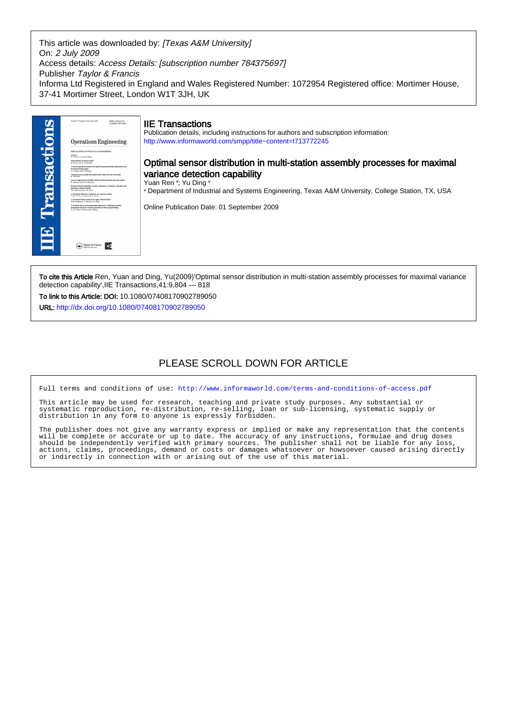This article was downloaded by: [Texas A&M University] On: 2 July 2009 Access details: Access Details: [subscription number 784375697] Publisher Taylor & Francis Informa Ltd Registered in England and Wales Registered Number: 1072954 Registered office: Mortimer House, 37-41 Mortimer Street, London W1T 3JH, UK



To cite this Article Ren, Yuan and Ding, Yu(2009)'Optimal sensor distribution in multi-station assembly processes for maximal variance detection capability',IIE Transactions,41:9,804 — 818

To link to this Article: DOI: 10.1080/07408170902789050

URL: <http://dx.doi.org/10.1080/07408170902789050>

# PLEASE SCROLL DOWN FOR ARTICLE

Full terms and conditions of use:<http://www.informaworld.com/terms-and-conditions-of-access.pdf>

This article may be used for research, teaching and private study purposes. Any substantial or systematic reproduction, re-distribution, re-selling, loan or sub-licensing, systematic supply or distribution in any form to anyone is expressly forbidden.

The publisher does not give any warranty express or implied or make any representation that the contents will be complete or accurate or up to date. The accuracy of any instructions, formulae and drug doses should be independently verified with primary sources. The publisher shall not be liable for any loss, actions, claims, proceedings, demand or costs or damages whatsoever or howsoever caused arising directly or indirectly in connection with or arising out of the use of this material.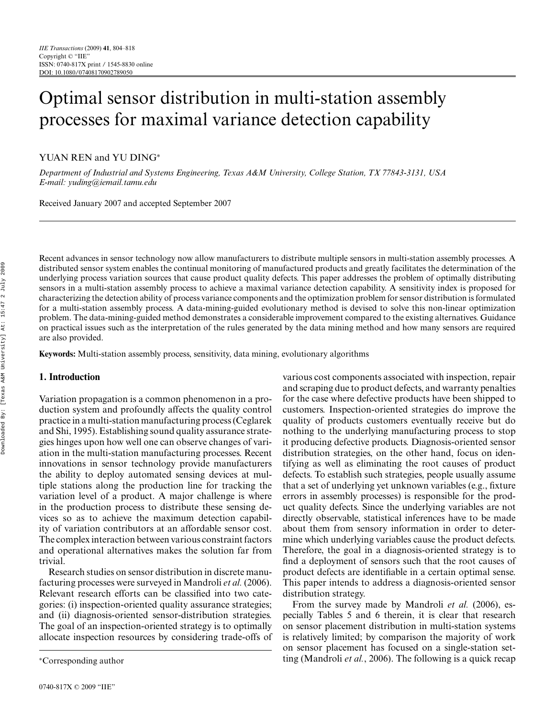# Optimal sensor distribution in multi-station assembly processes for maximal variance detection capability

YUAN REN and YU DING<sup>∗</sup>

*Department of Industrial and Systems Engineering, Texas A&M University, College Station, TX 77843-3131, USA E-mail: yuding@iemail.tamu.edu*

Received January 2007 and accepted September 2007

Recent advances in sensor technology now allow manufacturers to distribute multiple sensors in multi-station assembly processes. A distributed sensor system enables the continual monitoring of manufactured products and greatly facilitates the determination of the underlying process variation sources that cause product quality defects. This paper addresses the problem of optimally distributing sensors in a multi-station assembly process to achieve a maximal variance detection capability. A sensitivity index is proposed for characterizing the detection ability of process variance components and the optimization problem for sensor distribution is formulated for a multi-station assembly process. A data-mining-guided evolutionary method is devised to solve this non-linear optimization problem. The data-mining-guided method demonstrates a considerable improvement compared to the existing alternatives. Guidance on practical issues such as the interpretation of the rules generated by the data mining method and how many sensors are required are also provided.

**Keywords:** Multi-station assembly process, sensitivity, data mining, evolutionary algorithms

## **1. Introduction**

Variation propagation is a common phenomenon in a production system and profoundly affects the quality control practice in a multi-station manufacturing process (Ceglarek and Shi, 1995). Establishing sound quality assurance strategies hinges upon how well one can observe changes of variation in the multi-station manufacturing processes. Recent innovations in sensor technology provide manufacturers the ability to deploy automated sensing devices at multiple stations along the production line for tracking the variation level of a product. A major challenge is where in the production process to distribute these sensing devices so as to achieve the maximum detection capability of variation contributors at an affordable sensor cost. The complex interaction between various constraint factors and operational alternatives makes the solution far from trivial.

Research studies on sensor distribution in discrete manufacturing processes were surveyed in Mandroli *et al.* (2006). Relevant research efforts can be classified into two categories: (i) inspection-oriented quality assurance strategies; and (ii) diagnosis-oriented sensor-distribution strategies. The goal of an inspection-oriented strategy is to optimally allocate inspection resources by considering trade-offs of

various cost components associated with inspection, repair and scraping due to product defects, and warranty penalties for the case where defective products have been shipped to customers. Inspection-oriented strategies do improve the quality of products customers eventually receive but do nothing to the underlying manufacturing process to stop it producing defective products. Diagnosis-oriented sensor distribution strategies, on the other hand, focus on identifying as well as eliminating the root causes of product defects. To establish such strategies, people usually assume that a set of underlying yet unknown variables (e.g., fixture errors in assembly processes) is responsible for the product quality defects. Since the underlying variables are not directly observable, statistical inferences have to be made about them from sensory information in order to determine which underlying variables cause the product defects. Therefore, the goal in a diagnosis-oriented strategy is to find a deployment of sensors such that the root causes of product defects are identifiable in a certain optimal sense. This paper intends to address a diagnosis-oriented sensor distribution strategy.

From the survey made by Mandroli *et al.* (2006), especially Tables 5 and 6 therein, it is clear that research on sensor placement distribution in multi-station systems is relatively limited; by comparison the majority of work on sensor placement has focused on a single-station setting (Mandroli *et al.*, 2006). The following is a quick recap

<sup>∗</sup>Corresponding author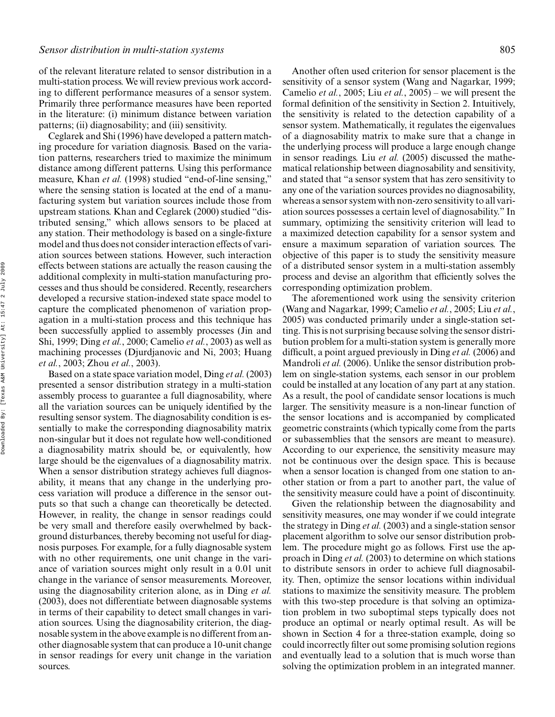of the relevant literature related to sensor distribution in a multi-station process. We will review previous work according to different performance measures of a sensor system. Primarily three performance measures have been reported in the literature: (i) minimum distance between variation patterns; (ii) diagnosability; and (iii) sensitivity.

Ceglarek and Shi (1996) have developed a pattern matching procedure for variation diagnosis. Based on the variation patterns, researchers tried to maximize the minimum distance among different patterns. Using this performance measure, Khan *et al.* (1998) studied "end-of-line sensing," where the sensing station is located at the end of a manufacturing system but variation sources include those from upstream stations. Khan and Ceglarek (2000) studied "distributed sensing," which allows sensors to be placed at any station. Their methodology is based on a single-fixture model and thus does not consider interaction effects of variation sources between stations. However, such interaction effects between stations are actually the reason causing the additional complexity in multi-station manufacturing processes and thus should be considered. Recently, researchers developed a recursive station-indexed state space model to capture the complicated phenomenon of variation propagation in a multi-station process and this technique has been successfully applied to assembly processes (Jin and Shi, 1999; Ding *et al.*, 2000; Camelio *et al.*, 2003) as well as machining processes (Djurdjanovic and Ni, 2003; Huang *et al.*, 2003; Zhou *et al.*, 2003).

Based on a state space variation model, Ding *et al.* (2003) presented a sensor distribution strategy in a multi-station assembly process to guarantee a full diagnosability, where all the variation sources can be uniquely identified by the resulting sensor system. The diagnosability condition is essentially to make the corresponding diagnosability matrix non-singular but it does not regulate how well-conditioned a diagnosability matrix should be, or equivalently, how large should be the eigenvalues of a diagnosability matrix. When a sensor distribution strategy achieves full diagnosability, it means that any change in the underlying process variation will produce a difference in the sensor outputs so that such a change can theoretically be detected. However, in reality, the change in sensor readings could be very small and therefore easily overwhelmed by background disturbances, thereby becoming not useful for diagnosis purposes. For example, for a fully diagnosable system with no other requirements, one unit change in the variance of variation sources might only result in a 0.01 unit change in the variance of sensor measurements. Moreover, using the diagnosability criterion alone, as in Ding *et al.* (2003), does not differentiate between diagnosable systems in terms of their capability to detect small changes in variation sources. Using the diagnosability criterion, the diagnosable system in the above example is no different from another diagnosable system that can produce a 10-unit change in sensor readings for every unit change in the variation sources.

Another often used criterion for sensor placement is the sensitivity of a sensor system (Wang and Nagarkar, 1999; Camelio *et al.*, 2005; Liu *et al.*, 2005) – we will present the formal definition of the sensitivity in Section 2. Intuitively, the sensitivity is related to the detection capability of a sensor system. Mathematically, it regulates the eigenvalues of a diagnosability matrix to make sure that a change in the underlying process will produce a large enough change in sensor readings. Liu *et al.* (2005) discussed the mathematical relationship between diagnosability and sensitivity, and stated that "a sensor system that has zero sensitivity to any one of the variation sources provides no diagnosability, whereas a sensor system with non-zero sensitivity to all variation sources possesses a certain level of diagnosability." In summary, optimizing the sensitivity criterion will lead to a maximized detection capability for a sensor system and ensure a maximum separation of variation sources. The objective of this paper is to study the sensitivity measure of a distributed sensor system in a multi-station assembly process and devise an algorithm that efficiently solves the corresponding optimization problem.

The aforementioned work using the sensivity criterion (Wang and Nagarkar, 1999; Camelio *et al.*, 2005; Liu *et al.*, 2005) was conducted primarily under a single-station setting. This is not surprising because solving the sensor distribution problem for a multi-station system is generally more difficult, a point argued previously in Ding *et al.* (2006) and Mandroli *et al.* (2006). Unlike the sensor distribution problem on single-station systems, each sensor in our problem could be installed at any location of any part at any station. As a result, the pool of candidate sensor locations is much larger. The sensitivity measure is a non-linear function of the sensor locations and is accompanied by complicated geometric constraints (which typically come from the parts or subassemblies that the sensors are meant to measure). According to our experience, the sensitivity measure may not be continuous over the design space. This is because when a sensor location is changed from one station to another station or from a part to another part, the value of the sensitivity measure could have a point of discontinuity.

Given the relationship between the diagnosability and sensitivity measures, one may wonder if we could integrate the strategy in Ding *et al.* (2003) and a single-station sensor placement algorithm to solve our sensor distribution problem. The procedure might go as follows. First use the approach in Ding *et al.* (2003) to determine on which stations to distribute sensors in order to achieve full diagnosability. Then, optimize the sensor locations within individual stations to maximize the sensitivity measure. The problem with this two-step procedure is that solving an optimization problem in two suboptimal steps typically does not produce an optimal or nearly optimal result. As will be shown in Section 4 for a three-station example, doing so could incorrectly filter out some promising solution regions and eventually lead to a solution that is much worse than solving the optimization problem in an integrated manner.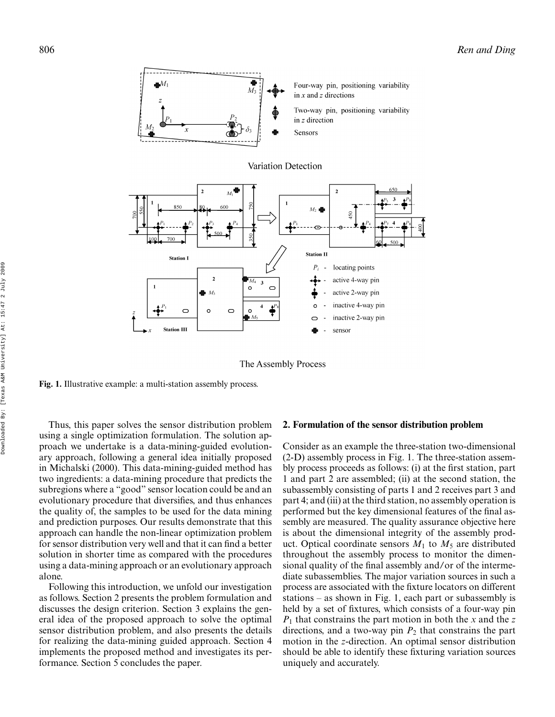





The Assembly Process

**Fig. 1.** Illustrative example: a multi-station assembly process.

Thus, this paper solves the sensor distribution problem using a single optimization formulation. The solution approach we undertake is a data-mining-guided evolutionary approach, following a general idea initially proposed in Michalski (2000). This data-mining-guided method has two ingredients: a data-mining procedure that predicts the subregions where a "good" sensor location could be and an evolutionary procedure that diversifies, and thus enhances the quality of, the samples to be used for the data mining and prediction purposes. Our results demonstrate that this approach can handle the non-linear optimization problem for sensor distribution very well and that it can find a better solution in shorter time as compared with the procedures using a data-mining approach or an evolutionary approach alone.

Following this introduction, we unfold our investigation as follows. Section 2 presents the problem formulation and discusses the design criterion. Section 3 explains the general idea of the proposed approach to solve the optimal sensor distribution problem, and also presents the details for realizing the data-mining guided approach. Section 4 implements the proposed method and investigates its performance. Section 5 concludes the paper.

#### **2. Formulation of the sensor distribution problem**

Consider as an example the three-station two-dimensional (2-D) assembly process in Fig. 1. The three-station assembly process proceeds as follows: (i) at the first station, part 1 and part 2 are assembled; (ii) at the second station, the subassembly consisting of parts 1 and 2 receives part 3 and part 4; and (iii) at the third station, no assembly operation is performed but the key dimensional features of the final assembly are measured. The quality assurance objective here is about the dimensional integrity of the assembly product. Optical coordinate sensors  $M_1$  to  $M_5$  are distributed throughout the assembly process to monitor the dimensional quality of the final assembly and/or of the intermediate subassemblies. The major variation sources in such a process are associated with the fixture locators on different stations – as shown in Fig. 1, each part or subassembly is held by a set of fixtures, which consists of a four-way pin *P*<sup>1</sup> that constrains the part motion in both the *x* and the *z* directions, and a two-way pin  $P_2$  that constrains the part motion in the *z*-direction. An optimal sensor distribution should be able to identify these fixturing variation sources uniquely and accurately.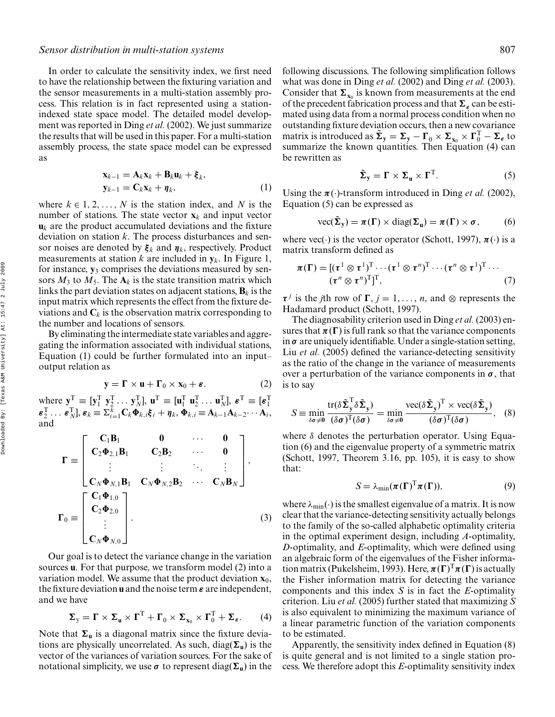# *Sensor distribution in multi-station systems* 807

In order to calculate the sensitivity index, we first need to have the relationship between the fixturing variation and the sensor measurements in a multi-station assembly process. This relation is in fact represented using a stationindexed state space model. The detailed model development was reported in Ding *et al.* (2002). We just summarize the results that will be used in this paper. For a multi-station assembly process, the state space model can be expressed as

$$
\mathbf{x}_{k-1} = \mathbf{A}_k \mathbf{x}_k + \mathbf{B}_k \mathbf{u}_k + \boldsymbol{\xi}_k, \n\mathbf{y}_{k-1} = \mathbf{C}_k \mathbf{x}_k + \boldsymbol{\eta}_k,
$$
\n(1)

where  $k \in 1, 2, \ldots, N$  is the station index, and *N* is the number of stations. The state vector  $\mathbf{x}_k$  and input vector  $\mathbf{u}_k$  are the product accumulated deviations and the fixture deviation on station *k*. The process disturbances and sensor noises are denoted by  $\xi_k$  and  $\eta_k$ , respectively. Product measurements at station  $k$  are included in  $y_k$ . In Figure 1, for instance, **y**<sup>3</sup> comprises the deviations measured by sensors  $M_3$  to  $M_5$ . The  $A_k$  is the state transition matrix which links the part deviation states on adjacent stations,  $\mathbf{B}_k$  is the input matrix which represents the effect from the fixture deviations and  $\mathbf{C}_k$  is the observation matrix corresponding to the number and locations of sensors.

By eliminating the intermediate state variables and aggregating the information associated with individual stations, Equation (1) could be further formulated into an input– output relation as

$$
\mathbf{y} = \mathbf{\Gamma} \times \mathbf{u} + \mathbf{\Gamma}_0 \times \mathbf{x}_0 + \boldsymbol{\varepsilon}.
$$
 (2)

where  $\mathbf{y}^{\mathrm{T}} \equiv [\mathbf{y}_1^{\mathrm{T}} \ \mathbf{y}_2^{\mathrm{T}} \dots \ \mathbf{y}_N^{\mathrm{T}}], \ \mathbf{u}^{\mathrm{T}} \equiv [\mathbf{u}_1^{\mathrm{T}} \ \mathbf{u}_2^{\mathrm{T}} \dots \ \mathbf{u}_N^{\mathrm{T}}], \ \boldsymbol{\varepsilon}^{\mathrm{T}} \equiv [\boldsymbol{\varepsilon}_1^{\mathrm{T}} \ \mathbf{y}_2^{\mathrm{T}} \dots \ \boldsymbol{\varepsilon}_N^{\mathrm{T}}], \ \boldsymbol{\varepsilon}_k \equiv \boldsymbol{\Sigma}_{i=1}^k \mathbf{C}_k \boldsymbol{\Phi}_{k,i} \boldsymbol{\$ and

$$
\mathbf{\Gamma} = \begin{bmatrix}\n\mathbf{C}_1 \mathbf{B}_1 & \mathbf{0} & \cdots & \mathbf{0} \\
\mathbf{C}_2 \mathbf{\Phi}_{2,1} \mathbf{B}_1 & \mathbf{C}_2 \mathbf{B}_2 & \cdots & \mathbf{0} \\
\vdots & \vdots & \ddots & \vdots \\
\mathbf{C}_N \mathbf{\Phi}_{N,1} \mathbf{B}_1 & \mathbf{C}_N \mathbf{\Phi}_{N,2} \mathbf{B}_2 & \cdots & \mathbf{C}_N \mathbf{B}_N\n\end{bmatrix},
$$
\n
$$
\mathbf{\Gamma}_0 = \begin{bmatrix}\n\mathbf{C}_1 \mathbf{\Phi}_{1,0} \\
\mathbf{C}_2 \mathbf{\Phi}_{2,0} \\
\vdots \\
\mathbf{C}_N \mathbf{\Phi}_{N,0}\n\end{bmatrix}.
$$
\n(3)

Our goal is to detect the variance change in the variation sources **u**. For that purpose, we transform model (2) into a variation model. We assume that the product deviation  $\mathbf{x}_0$ , the fixture deviation **u** and the noise term *ε* are independent, and we have

$$
\Sigma_{y} = \Gamma \times \Sigma_{u} \times \Gamma^{T} + \Gamma_{0} \times \Sigma_{x_{0}} \times \Gamma_{0}^{T} + \Sigma_{\varepsilon}.
$$
 (4)

Note that  $\Sigma_u$  is a diagonal matrix since the fixture deviations are physically uncorrelated. As such,  $diag(\Sigma_u)$  is the vector of the variances of variation sources. For the sake of notational simplicity, we use  $\sigma$  to represent diag( $\Sigma_u$ ) in the following discussions. The following simplification follows what was done in Ding *et al.* (2002) and Ding *et al.* (2003). Consider that  $\Sigma_{\mathbf{x}_0}$  is known from measurements at the end of the precedent fabrication process and that  $\Sigma<sub>e</sub>$  can be estimated using data from a normal process condition when no outstanding fixture deviation occurs, then a new covariance matrix is introduced as  $\tilde{\Sigma}_y = \Sigma_y - \Gamma_0 \times \Sigma_{x_0} \times \Gamma_0^T - \Sigma_{\varepsilon}$  to summarize the known quantities. Then Equation (4) can be rewritten as

$$
\tilde{\Sigma}_y = \Gamma \times \Sigma_u \times \Gamma^T. \tag{5}
$$

Using the  $\pi$ (·)-transform introduced in Ding *et al.* (2002), Equation (5) can be expressed as

$$
\text{vec}(\tilde{\Sigma}_{\mathbf{y}}) = \pi(\Gamma) \times \text{diag}(\Sigma_{\mathbf{u}}) = \pi(\Gamma) \times \sigma,
$$
 (6)

where vec(·) is the vector operator (Schott, 1997),  $\pi$ (·) is a matrix transform defined as

$$
\boldsymbol{\pi}(\boldsymbol{\Gamma}) = [(\boldsymbol{\tau}^1 \otimes \boldsymbol{\tau}^1)^T \cdots (\boldsymbol{\tau}^1 \otimes \boldsymbol{\tau}^n)^T \cdots (\boldsymbol{\tau}^n \otimes \boldsymbol{\tau}^1)^T \cdots
$$

$$
(\boldsymbol{\tau}^n \otimes \boldsymbol{\tau}^n)^T]^T, \qquad (7)
$$

 $\tau^{j}$  is the *j*th row of  $\Gamma$ , *j* = 1, ..., *n*, and ⊗ represents the Hadamard product (Schott, 1997).

The diagnosability criterion used in Ding *et al.* (2003) ensures that  $\pi(\Gamma)$  is full rank so that the variance components in  $\sigma$  are uniquely identifiable. Under a single-station setting, Liu *et al.* (2005) defined the variance-detecting sensitivity as the ratio of the change in the variance of measurements over a perturbation of the variance components in  $\sigma$ , that is to say

$$
S = \min_{\delta \sigma \neq 0} \frac{\text{tr}(\delta \tilde{\Sigma}_{\mathbf{y}}^{\mathsf{T}} \delta \tilde{\Sigma}_{\mathbf{y}})}{(\delta \sigma)^{\mathsf{T}}(\delta \sigma)} = \min_{\delta \sigma \neq 0} \frac{\text{vec}(\delta \tilde{\Sigma}_{\mathbf{y}})^{\mathsf{T}} \times \text{vec}(\delta \tilde{\Sigma}_{\mathbf{y}})}{(\delta \sigma)^{\mathsf{T}}(\delta \sigma)}, \quad (8)
$$

where  $\delta$  denotes the perturbation operator. Using Equation (6) and the eigenvalue property of a symmetric matrix (Schott, 1997, Theorem 3.16, pp. 105), it is easy to show that:

$$
S = \lambda_{\min}(\pi(\Gamma)^{\mathrm{T}}\pi(\Gamma)),\tag{9}
$$

where  $\lambda_{\min}(\cdot)$  is the smallest eigenvalue of a matrix. It is now clear that the variance-detecting sensitivity actually belongs to the family of the so-called alphabetic optimality criteria in the optimal experiment design, including *A*-optimality, *D*-optimality, and *E*-optimality, which were defined using an algebraic form of the eigenvalues of the Fisher information matrix (Pukelsheim, 1993). Here,  $\pi(\Gamma)^{T}\pi(\Gamma)$  is actually the Fisher information matrix for detecting the variance components and this index *S* is in fact the *E*-optimality criterion. Liu *et al.* (2005) further stated that maximizing *S* is also equivalent to minimizing the maximum variance of a linear parametric function of the variation components to be estimated.

Apparently, the sensitivity index defined in Equation (8) is quite general and is not limited to a single station process. We therefore adopt this *E*-optimality sensitivity index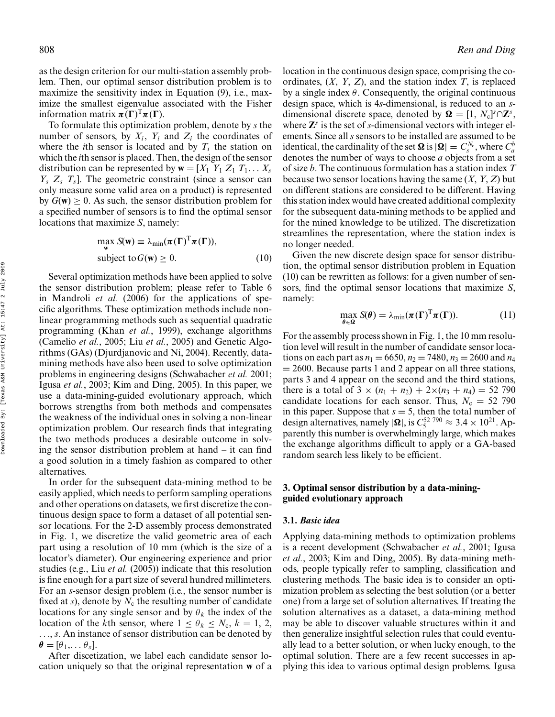as the design criterion for our multi-station assembly problem. Then, our optimal sensor distribution problem is to maximize the sensitivity index in Equation (9), i.e., maximize the smallest eigenvalue associated with the Fisher information matrix  $\pi(\Gamma)^T \pi(\Gamma)$ .

To formulate this optimization problem, denote by *s* the number of sensors, by  $X_i$ ,  $Y_i$  and  $Z_i$  the coordinates of where the *i*th sensor is located and by  $T_i$  the station on which the *i*th sensor is placed. Then, the design of the sensor distribution can be represented by  $\mathbf{w} = [X_1 \ Y_1 \ Z_1 \ T_1 \dots \ X_s]$  $Y_s$   $Z_s$   $T_s$ ]. The geometric constraint (since a sensor can only measure some valid area on a product) is represented by  $G(\mathbf{w}) \geq 0$ . As such, the sensor distribution problem for a specified number of sensors is to find the optimal sensor locations that maximize *S*, namely:

$$
\max_{\mathbf{w}} S(\mathbf{w}) \equiv \lambda_{\min}(\pi(\Gamma)^T \pi(\Gamma)),
$$
  
subject to  $G(\mathbf{w}) \ge 0$ . (10)

Several optimization methods have been applied to solve the sensor distribution problem; please refer to Table 6 in Mandroli *et al.* (2006) for the applications of specific algorithms. These optimization methods include nonlinear programming methods such as sequential quadratic programming (Khan *et al.*, 1999), exchange algorithms (Camelio *et al.*, 2005; Liu *et al.*, 2005) and Genetic Algorithms (GAs) (Djurdjanovic and Ni, 2004). Recently, datamining methods have also been used to solve optimization problems in engineering designs (Schwabacher *et al.* 2001; Igusa *et al.*, 2003; Kim and Ding, 2005). In this paper, we use a data-mining-guided evolutionary approach, which borrows strengths from both methods and compensates the weakness of the individual ones in solving a non-linear optimization problem. Our research finds that integrating the two methods produces a desirable outcome in solving the sensor distribution problem at hand – it can find a good solution in a timely fashion as compared to other alternatives.

In order for the subsequent data-mining method to be easily applied, which needs to perform sampling operations and other operations on datasets, we first discretize the continuous design space to form a dataset of all potential sensor locations. For the 2-D assembly process demonstrated in Fig. 1, we discretize the valid geometric area of each part using a resolution of 10 mm (which is the size of a locator's diameter). Our engineering experience and prior studies (e.g., Liu *et al.* (2005)) indicate that this resolution is fine enough for a part size of several hundred millimeters. For an *s*-sensor design problem (i.e., the sensor number is fixed at  $s$ ), denote by  $N_c$  the resulting number of candidate locations for any single sensor and by  $\theta_k$  the index of the location of the *k*th sensor, where  $1 \le \theta_k \le N_c$ ,  $k = 1, 2$ , ..., *s*. An instance of sensor distribution can be denoted by  $\theta = [\theta_1, \ldots, \theta_s].$ 

After discetization, we label each candidate sensor location uniquely so that the original representation **w** of a location in the continuous design space, comprising the coordinates,  $(X, Y, Z)$ , and the station index  $T$ , is replaced by a single index  $\theta$ . Consequently, the original continuous design space, which is 4*s*-dimensional, is reduced to an *s*dimensional discrete space, denoted by  $\mathbf{\Omega} = [1, N_c]^s \cap \mathbf{Z}^s$ , where **Z***<sup>s</sup>* is the set of *s*-dimensional vectors with integer elements. Since all *s* sensors to be installed are assumed to be identical, the cardinality of the set  $\boldsymbol{\Omega}$  is  $|\boldsymbol{\Omega}| = C_s^{N_{\rm c}},$  where  $C_a^b$ denotes the number of ways to choose *a* objects from a set of size *b*. The continuous formulation has a station index *T* because two sensor locations having the same  $(X, Y, Z)$  but on different stations are considered to be different. Having this station index would have created additional complexity for the subsequent data-mining methods to be applied and for the mined knowledge to be utilized. The discretization streamlines the representation, where the station index is no longer needed.

Given the new discrete design space for sensor distribution, the optimal sensor distribution problem in Equation (10) can be rewritten as follows: for a given number of sensors, find the optimal sensor locations that maximize *S*, namely:

$$
\max_{\theta \in \Omega} S(\theta) = \lambda_{\min} (\pi(\Gamma)^T \pi(\Gamma)).
$$
 (11)

For the assembly process shown in Fig. 1, the 10 mm resolution level will result in the number of candidate sensor locations on each part as  $n_1 = 6650$ ,  $n_2 = 7480$ ,  $n_3 = 2600$  and  $n_4$  $= 2600$ . Because parts 1 and 2 appear on all three stations, parts 3 and 4 appear on the second and the third stations, there is a total of  $3 \times (n_1 + n_2) + 2 \times (n_3 + n_4) = 52790$ candidate locations for each sensor. Thus,  $N_c = 52$  790 in this paper. Suppose that  $s = 5$ , then the total number of design alternatives, namely  $|\mathbf{\Omega}|$ , is  $C_5^{52\ 790} \approx 3.4 \times 10^{21}$ . Apparently this number is overwhelmingly large, which makes the exchange algorithms difficult to apply or a GA-based random search less likely to be efficient.

### **3. Optimal sensor distribution by a data-miningguided evolutionary approach**

#### **3.1.** *Basic idea*

Applying data-mining methods to optimization problems is a recent development (Schwabacher *et al.*, 2001; Igusa *et al.*, 2003; Kim and Ding, 2005). By data-mining methods, people typically refer to sampling, classification and clustering methods. The basic idea is to consider an optimization problem as selecting the best solution (or a better one) from a large set of solution alternatives. If treating the solution alternatives as a dataset, a data-mining method may be able to discover valuable structures within it and then generalize insightful selection rules that could eventually lead to a better solution, or when lucky enough, to the optimal solution. There are a few recent successes in applying this idea to various optimal design problems. Igusa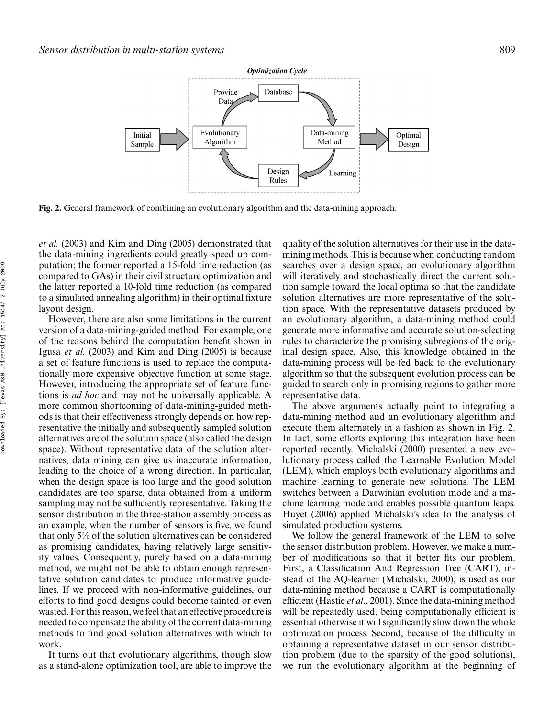

**Fig. 2.** General framework of combining an evolutionary algorithm and the data-mining approach.

*et al.* (2003) and Kim and Ding (2005) demonstrated that the data-mining ingredients could greatly speed up computation; the former reported a 15-fold time reduction (as compared to GAs) in their civil structure optimization and the latter reported a 10-fold time reduction (as compared to a simulated annealing algorithm) in their optimal fixture layout design.

However, there are also some limitations in the current version of a data-mining-guided method. For example, one of the reasons behind the computation benefit shown in Igusa *et al.* (2003) and Kim and Ding (2005) is because a set of feature functions is used to replace the computationally more expensive objective function at some stage. However, introducing the appropriate set of feature functions is *ad hoc* and may not be universally applicable. A more common shortcoming of data-mining-guided methods is that their effectiveness strongly depends on how representative the initially and subsequently sampled solution alternatives are of the solution space (also called the design space). Without representative data of the solution alternatives, data mining can give us inaccurate information, leading to the choice of a wrong direction. In particular, when the design space is too large and the good solution candidates are too sparse, data obtained from a uniform sampling may not be sufficiently representative. Taking the sensor distribution in the three-station assembly process as an example, when the number of sensors is five, we found that only 5% of the solution alternatives can be considered as promising candidates, having relatively large sensitivity values. Consequently, purely based on a data-mining method, we might not be able to obtain enough representative solution candidates to produce informative guidelines. If we proceed with non-informative guidelines, our efforts to find good designs could become tainted or even wasted. For this reason, we feel that an effective procedure is needed to compensate the ability of the current data-mining methods to find good solution alternatives with which to work.

It turns out that evolutionary algorithms, though slow as a stand-alone optimization tool, are able to improve the

quality of the solution alternatives for their use in the datamining methods. This is because when conducting random searches over a design space, an evolutionary algorithm will iteratively and stochastically direct the current solution sample toward the local optima so that the candidate solution alternatives are more representative of the solution space. With the representative datasets produced by an evolutionary algorithm, a data-mining method could generate more informative and accurate solution-selecting rules to characterize the promising subregions of the original design space. Also, this knowledge obtained in the data-mining process will be fed back to the evolutionary algorithm so that the subsequent evolution process can be guided to search only in promising regions to gather more representative data.

The above arguments actually point to integrating a data-mining method and an evolutionary algorithm and execute them alternately in a fashion as shown in Fig. 2. In fact, some efforts exploring this integration have been reported recently. Michalski (2000) presented a new evolutionary process called the Learnable Evolution Model (LEM), which employs both evolutionary algorithms and machine learning to generate new solutions. The LEM switches between a Darwinian evolution mode and a machine learning mode and enables possible quantum leaps. Huyet (2006) applied Michalski's idea to the analysis of simulated production systems.

We follow the general framework of the LEM to solve the sensor distribution problem. However, we make a number of modifications so that it better fits our problem. First, a Classification And Regression Tree (CART), instead of the AQ-learner (Michalski, 2000), is used as our data-mining method because a CART is computationally efficient (Hastie *et al*., 2001). Since the data-mining method will be repeatedly used, being computationally efficient is essential otherwise it will significantly slow down the whole optimization process. Second, because of the difficulty in obtaining a representative dataset in our sensor distribution problem (due to the sparsity of the good solutions), we run the evolutionary algorithm at the beginning of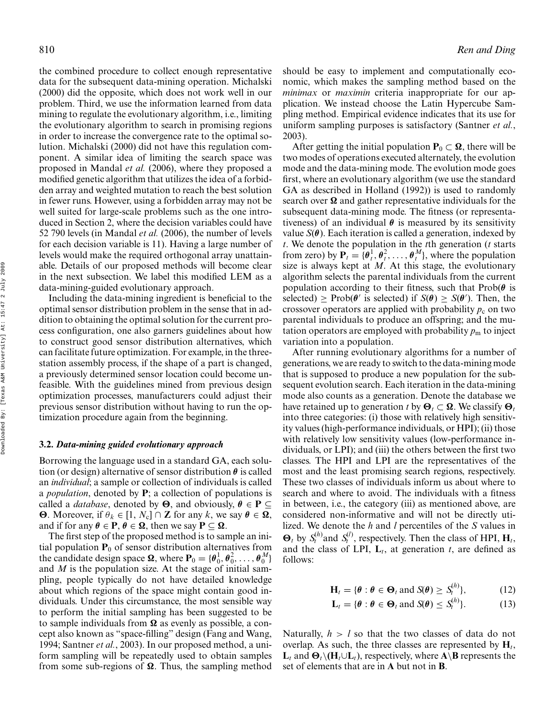the combined procedure to collect enough representative data for the subsequent data-mining operation. Michalski (2000) did the opposite, which does not work well in our problem. Third, we use the information learned from data mining to regulate the evolutionary algorithm, i.e., limiting the evolutionary algorithm to search in promising regions in order to increase the convergence rate to the optimal solution. Michalski (2000) did not have this regulation component. A similar idea of limiting the search space was proposed in Mandal *et al.* (2006), where they proposed a modified genetic algorithm that utilizes the idea of a forbidden array and weighted mutation to reach the best solution in fewer runs. However, using a forbidden array may not be well suited for large-scale problems such as the one introduced in Section 2, where the decision variables could have 52 790 levels (in Mandal *et al.* (2006), the number of levels for each decision variable is 11). Having a large number of levels would make the required orthogonal array unattainable. Details of our proposed methods will become clear in the next subsection. We label this modified LEM as a data-mining-guided evolutionary approach.

Including the data-mining ingredient is beneficial to the optimal sensor distribution problem in the sense that in addition to obtaining the optimal solution for the current process configuration, one also garners guidelines about how to construct good sensor distribution alternatives, which can facilitate future optimization. For example, in the threestation assembly process, if the shape of a part is changed, a previously determined sensor location could become unfeasible. With the guidelines mined from previous design optimization processes, manufacturers could adjust their previous sensor distribution without having to run the optimization procedure again from the beginning.

#### **3.2.** *Data-mining guided evolutionary approach*

Borrowing the language used in a standard GA, each solution (or design) alternative of sensor distribution *θ* is called an *individual*; a sample or collection of individuals is called a *population*, denoted by **P**; a collection of populations is called a *database*, denoted by  $\Theta$ , and obviously,  $\theta \in \mathbf{P} \subset$ *e*. Moreover, if  $\theta_k \in [1, N_c] \cap \mathbb{Z}$  for any *k*, we say  $\theta \in \Omega$ , and if for any  $\theta \in \mathbf{P}, \theta \in \mathbf{\Omega}$ , then we say  $\mathbf{P} \subseteq \mathbf{\Omega}$ .

The first step of the proposed method is to sample an initial population  $P_0$  of sensor distribution alternatives from the candidate design space  $\Omega$ , where  $P_0 = \{\theta_0^1, \theta_0^2, \dots, \theta_0^M\}$ and *M* is the population size. At the stage of initial sampling, people typically do not have detailed knowledge about which regions of the space might contain good individuals. Under this circumstance, the most sensible way to perform the initial sampling has been suggested to be to sample individuals from  $\Omega$  as evenly as possible, a concept also known as "space-filling" design (Fang and Wang, 1994; Santner *et al.*, 2003). In our proposed method, a uniform sampling will be repeatedly used to obtain samples from some sub-regions of  $\Omega$ . Thus, the sampling method

should be easy to implement and computationally economic, which makes the sampling method based on the *minimax* or *maximin* criteria inappropriate for our application. We instead choose the Latin Hypercube Sampling method. Empirical evidence indicates that its use for uniform sampling purposes is satisfactory (Santner *et al.*, 2003).

After getting the initial population  $P_0 \subset \Omega$ , there will be two modes of operations executed alternately, the evolution mode and the data-mining mode. The evolution mode goes first, where an evolutionary algorithm (we use the standard GA as described in Holland (1992)) is used to randomly search over  $\Omega$  and gather representative individuals for the subsequent data-mining mode. The fitness (or representativeness) of an individual  $\theta$  is measured by its sensitivity value  $S(\theta)$ . Each iteration is called a generation, indexed by *t*. We denote the population in the *t*th generation (*t* starts from zero) by  $P_t = {\theta_t^1, \theta_t^2, \ldots, \theta_t^M}$ , where the population size is always kept at *M*. At this stage, the evolutionary algorithm selects the parental individuals from the current population according to their fitness, such that Prob(*θ* is selected)  $\geq$  Prob( $\theta$ <sup>'</sup> is selected) if  $S(\theta) \geq S(\theta')$ . Then, the crossover operators are applied with probability  $p_c$  on two parental individuals to produce an offspring; and the mutation operators are employed with probability  $p<sub>m</sub>$  to inject variation into a population.

After running evolutionary algorithms for a number of generations, we are ready to switch to the data-mining mode that is supposed to produce a new population for the subsequent evolution search. Each iteration in the data-mining mode also counts as a generation. Denote the database we have retained up to generation *t* by  $\mathbf{\Theta}_t \subset \mathbf{\Omega}$ . We classify  $\mathbf{\Theta}_t$ into three categories: (i) those with relatively high sensitivity values (high-performance individuals, or HPI); (ii) those with relatively low sensitivity values (low-performance individuals, or LPI); and (iii) the others between the first two classes. The HPI and LPI are the representatives of the most and the least promising search regions, respectively. These two classes of individuals inform us about where to search and where to avoid. The individuals with a fitness in between, i.e., the category (iii) as mentioned above, are considered non-informative and will not be directly utilized. We denote the *h* and *l* percentiles of the *S* values in  $\Theta_t$  by  $S_t^{(h)}$  and  $S_t^{(l)}$ , respectively. Then the class of HPI,  $H_t$ , and the class of LPI,  $L_t$ , at generation *t*, are defined as follows:

$$
\mathbf{H}_t = \{\boldsymbol{\theta} : \boldsymbol{\theta} \in \boldsymbol{\Theta}_t \text{ and } S(\boldsymbol{\theta}) \ge S_t^{(h)}\},\tag{12}
$$

$$
\mathbf{L}_t = \{ \boldsymbol{\theta} : \boldsymbol{\theta} \in \boldsymbol{\Theta}_t \text{ and } S(\boldsymbol{\theta}) \le S_t^{(h)} \}. \tag{13}
$$

Naturally,  $h > l$  so that the two classes of data do not overlap. As such, the three classes are represented by **H***t*,  $\mathbf{L}_t$  and  $\mathbf{\Theta}_t \setminus (\mathbf{H}_t \cup \mathbf{L}_t)$ , respectively, where **A** $\setminus$ **B** represents the set of elements that are in **A** but not in **B**.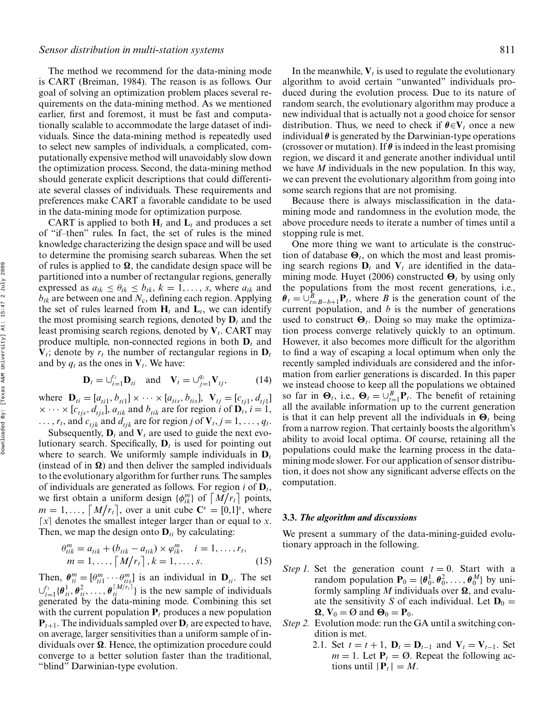The method we recommend for the data-mining mode is CART (Breiman, 1984). The reason is as follows. Our goal of solving an optimization problem places several requirements on the data-mining method. As we mentioned earlier, first and foremost, it must be fast and computationally scalable to accommodate the large dataset of individuals. Since the data-mining method is repeatedly used to select new samples of individuals, a complicated, computationally expensive method will unavoidably slow down the optimization process. Second, the data-mining method should generate explicit descriptions that could differentiate several classes of individuals. These requirements and preferences make CART a favorable candidate to be used in the data-mining mode for optimization purpose.

CART is applied to both  $H_t$  and  $L_t$  and produces a set of "if–then" rules. In fact, the set of rules is the mined knowledge characterizing the design space and will be used to determine the promising search subareas. When the set of rules is applied to  $\Omega$ , the candidate design space will be partitioned into a number of rectangular regions, generally expressed as  $a_{tk} \leq \theta_{tk} \leq b_{tk}$ ,  $k = 1, \ldots, s$ , where  $a_{tk}$  and  $b_{tk}$  are between one and  $N_c$ , defining each region. Applying the set of rules learned from  $H_t$  and  $L_t$ , we can identify the most promising search regions, denoted by  $D_t$  and the least promising search regions, denoted by **V***t*. CART may produce multiple, non-connected regions in both  $D_t$  and  $V_t$ ; denote by  $r_t$  the number of rectangular regions in  $D_t$ and by  $q_t$  as the ones in  $V_t$ . We have:

$$
\mathbf{D}_t = \bigcup_{i=1}^{r_t} \mathbf{D}_{ti} \quad \text{and} \quad \mathbf{V}_t = \bigcup_{j=1}^{q_t} \mathbf{V}_{tj}, \tag{14}
$$

where  $\mathbf{D}_{ti} = [a_{ti1}, b_{ti1}] \times \cdots \times [a_{tis}, b_{tis}], \mathbf{V}_{ti} = [c_{ti1}, d_{ti1}]$  $\times \cdots \times [c_{tjs}, d_{tjs}]$ ,  $a_{tik}$  and  $b_{tik}$  are for region *i* of  $\mathbf{D}_t$ ,  $i = 1$ ,  $\ldots$ ,  $r_t$ , and  $c_{tjk}$  and  $d_{tjk}$  are for region *j* of  $V_t$ ,  $j = 1, \ldots, q_t$ .

Subsequently,  $\mathbf{D}_t$  and  $\mathbf{V}_t$  are used to guide the next evolutionary search. Specifically,  $D_t$  is used for pointing out where to search. We uniformly sample individuals in  $D_t$ (instead of in  $\Omega$ ) and then deliver the sampled individuals to the evolutionary algorithm for further runs. The samples of individuals are generated as follows. For region *i* of **D***t*, we first obtain a uniform design  $\{\phi^m_{ik}\}$  of  $\lceil M/r_t \rceil$  points,  $m = 1, \ldots, \lceil M/r_t \rceil$ , over a unit cube  $\mathbf{C}^s = [0,1]^s$ , where  $\lceil x \rceil$  denotes the smallest integer larger than or equal to *x*. Then, we map the design onto  $D_{ti}$  by calculating:

$$
\theta_{iik}^{m} = a_{tik} + (b_{tik} - a_{tik}) \times \varphi_{ik}^{m}, \quad i = 1, ..., r_t, \nm = 1, ..., [M/r_t], k = 1, ..., s.
$$
\n(15)

Then,  $\boldsymbol{\theta}_{ti}^m = [\theta_{ti1}^m \cdots \theta_{tiS}^m]$  is an individual in  $\mathbf{D}_{ti}$ . The set  $\cup_{i=1}^{r_t} {\theta}_{ti}^1, \theta_{ti}^2, \ldots, \theta_{ti}^{[M/r_t]}$  is the new sample of individuals generated by the data-mining mode. Combining this set with the current population  $P_t$  produces a new population  $P_{t+1}$ . The individuals sampled over  $D_t$  are expected to have, on average, larger sensitivities than a uniform sample of individuals over  $\Omega$ . Hence, the optimization procedure could converge to a better solution faster than the traditional, "blind" Darwinian-type evolution.

In the meanwhile,  $V_t$  is used to regulate the evolutionary algorithm to avoid certain "unwanted" individuals produced during the evolution process. Due to its nature of random search, the evolutionary algorithm may produce a new individual that is actually not a good choice for sensor distribution. Thus, we need to check if  $\theta \in V_t$  once a new individual  $\theta$  is generated by the Darwinian-type operations (crossover or mutation). If  $\theta$  is indeed in the least promising region, we discard it and generate another individual until we have *M* individuals in the new population. In this way, we can prevent the evolutionary algorithm from going into some search regions that are not promising.

Because there is always misclassification in the datamining mode and randomness in the evolution mode, the above procedure needs to iterate a number of times until a stopping rule is met.

One more thing we want to articulate is the construction of database  $\Theta_t$ , on which the most and least promising search regions  $D_t$  and  $V_t$  are identified in the datamining mode. Huyet (2006) constructed  $\mathbf{\Theta}_t$  by using only the populations from the most recent generations, i.e.,  $\theta$ <sup>*t*</sup> = ∪<sup>*B*</sup><sub>*t*=*B*−*b*+1</sub>**P**<sup>*t*</sup>, where *B* is the generation count of the current population, and  $b$  is the number of generations used to construct  $\mathbf{\Theta}_t$ . Doing so may make the optimization process converge relatively quickly to an optimum. However, it also becomes more difficult for the algorithm to find a way of escaping a local optimum when only the recently sampled individuals are considered and the information from earlier generations is discarded. In this paper we instead choose to keep all the populations we obtained so far in  $\mathbf{\Theta}_t$ , i.e.,  $\mathbf{\Theta}_t = \bigcup_{t=1}^B \mathbf{P}_t$ . The benefit of retaining all the available information up to the current generation is that it can help prevent all the individuals in  $\mathbf{\Theta}_t$  being from a narrow region. That certainly boosts the algorithm's ability to avoid local optima. Of course, retaining all the populations could make the learning process in the datamining mode slower. For our application of sensor distribution, it does not show any significant adverse effects on the computation.

#### **3.3.** *The algorithm and discussions*

We present a summary of the data-mining-guided evolutionary approach in the following.

- *Step 1.* Set the generation count  $t = 0$ . Start with a random population  $P_0 = {\theta_0^1, \theta_0^2, \ldots, \theta_0^M}$  by uniformly sampling  $M$  individuals over  $\Omega$ , and evaluate the sensitivity *S* of each individual. Let  $D_0 =$  $\Omega$ ,  $V_0 = \emptyset$  and  $\Theta_0 = P_0$ .
- *Step 2.* Evolution mode: run the GA until a switching condition is met.
	- 2.1. Set  $t = t + 1$ ,  $D_t = D_{t-1}$  and  $V_t = V_{t-1}$ . Set  $m = 1$ . Let  $P_t = \emptyset$ . Repeat the following actions until  $|\mathbf{P}_t| = M$ .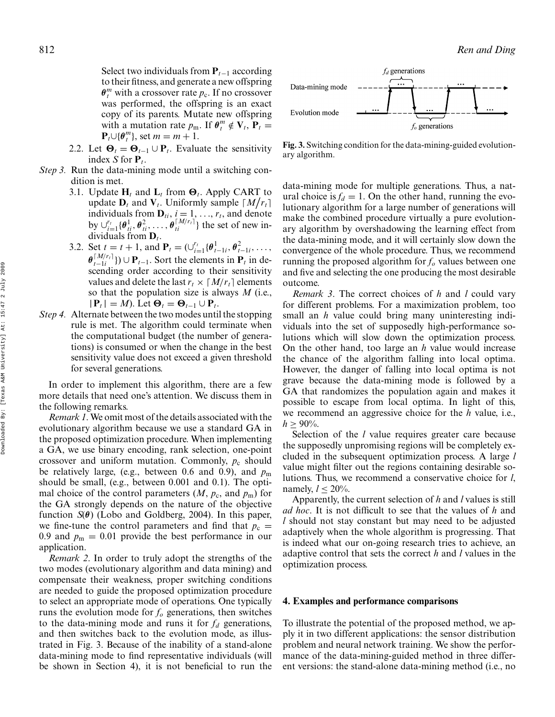Select two individuals from  $P_{t-1}$  according to their fitness, and generate a new offspring  $\theta_t^m$  with a crossover rate  $p_c$ . If no crossover was performed, the offspring is an exact copy of its parents. Mutate new offspring with a mutation rate  $p_m$ . If  $\theta_i^m \notin V_t$ ,  $P_t =$  $\mathbf{P}_t \cup \{\theta_t^m\}$ , set  $m = m + 1$ .

- 2.2. Let  $\mathbf{\Theta}_t = \mathbf{\Theta}_{t-1} \cup \mathbf{P}_t$ . Evaluate the sensitivity index *S* for  $P_t$ .
- *Step 3.* Run the data-mining mode until a switching condition is met.
	- 3.1. Update  $H_t$  and  $L_t$  from  $\Theta_t$ . Apply CART to update  $\mathbf{D}_t$  and  $\mathbf{V}_t$ . Uniformly sample  $\lceil M/r_t \rceil$ individuals from  $\mathbf{D}_{ti}$ ,  $i = 1, \ldots, r_t$ , and denote by  $\bigcup_{i=1}^{r_t} {\{\theta_{ti}^1, \theta_{ti}^2, \ldots, \theta_{ti}^{[M/r_t]}\}}$  the set of new individuals from **D***t*.
	- 3.2. Set  $t = t + 1$ , and  $P_t = (\bigcup_{i=1}^{r_t} {\{\theta_{t-1}^i, \theta_{t-1}^2, \ldots, \theta_{t-1}^2\}})$  $\theta_{t-1}^{\lceil M/r_t \rceil}$ }) ∪  $\mathbf{P}_{t-1}$ . Sort the elements in  $\mathbf{P}_t$  in descending order according to their sensitivity values and delete the last  $r_t \times \lceil M/r_t \rceil$  elements so that the population size is always *M* (i.e.,  $|\mathbf{P}_t| = M$ ). Let  $\mathbf{\Theta}_t = \mathbf{\Theta}_{t-1} \cup \mathbf{P}_t$ .
- *Step 4.* Alternate between the two modes until the stopping rule is met. The algorithm could terminate when the computational budget (the number of generations) is consumed or when the change in the best sensitivity value does not exceed a given threshold for several generations.

In order to implement this algorithm, there are a few more details that need one's attention. We discuss them in the following remarks.

*Remark 1*. We omit most of the details associated with the evolutionary algorithm because we use a standard GA in the proposed optimization procedure. When implementing a GA, we use binary encoding, rank selection, one-point crossover and uniform mutation. Commonly, *p*<sup>c</sup> should be relatively large, (e.g., between 0.6 and 0.9), and  $p<sub>m</sub>$ should be small, (e.g., between 0.001 and 0.1). The optimal choice of the control parameters  $(M, p_c, \text{ and } p_m)$  for the GA strongly depends on the nature of the objective function  $S(\theta)$  (Lobo and Goldberg, 2004). In this paper, we fine-tune the control parameters and find that  $p_c$  = 0.9 and  $p_m = 0.01$  provide the best performance in our application.

*Remark 2*. In order to truly adopt the strengths of the two modes (evolutionary algorithm and data mining) and compensate their weakness, proper switching conditions are needed to guide the proposed optimization procedure to select an appropriate mode of operations. One typically runs the evolution mode for  $f<sub>o</sub>$  generations, then switches to the data-mining mode and runs it for  $f_d$  generations, and then switches back to the evolution mode, as illustrated in Fig. 3. Because of the inability of a stand-alone data-mining mode to find representative individuals (will be shown in Section 4), it is not beneficial to run the



**Fig. 3.** Switching condition for the data-mining-guided evolutionary algorithm.

data-mining mode for multiple generations. Thus, a natural choice is  $f_d = 1$ . On the other hand, running the evolutionary algorithm for a large number of generations will make the combined procedure virtually a pure evolutionary algorithm by overshadowing the learning effect from the data-mining mode, and it will certainly slow down the convergence of the whole procedure. Thus, we recommend running the proposed algorithm for  $f<sub>o</sub>$  values between one and five and selecting the one producing the most desirable outcome.

*Remark 3*. The correct choices of *h* and *l* could vary for different problems. For a maximization problem, too small an *h* value could bring many uninteresting individuals into the set of supposedly high-performance solutions which will slow down the optimization process. On the other hand, too large an *h* value would increase the chance of the algorithm falling into local optima. However, the danger of falling into local optima is not grave because the data-mining mode is followed by a GA that randomizes the population again and makes it possible to escape from local optima. In light of this, we recommend an aggressive choice for the *h* value, i.e.,  $h > 90\%$ .

Selection of the *l* value requires greater care because the supposedly unpromising regions will be completely excluded in the subsequent optimization process. A large *l* value might filter out the regions containing desirable solutions. Thus, we recommend a conservative choice for *l*, namely,  $l \leq 20\%$ .

Apparently, the current selection of *h* and *l* values is still *ad hoc*. It is not difficult to see that the values of *h* and *l* should not stay constant but may need to be adjusted adaptively when the whole algorithm is progressing. That is indeed what our on-going research tries to achieve, an adaptive control that sets the correct *h* and *l* values in the optimization process.

#### **4. Examples and performance comparisons**

To illustrate the potential of the proposed method, we apply it in two different applications: the sensor distribution problem and neural network training. We show the performance of the data-mining-guided method in three different versions: the stand-alone data-mining method (i.e., no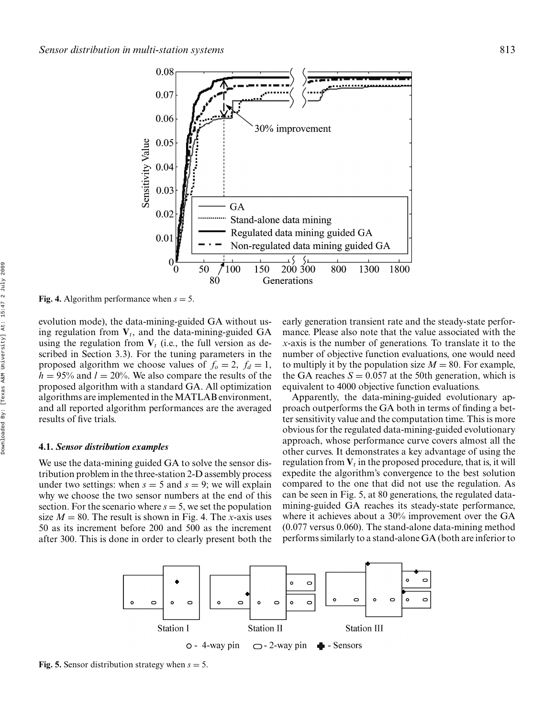

**Fig. 4.** Algorithm performance when  $s = 5$ .

evolution mode), the data-mining-guided GA without using regulation from  $V_t$ , and the data-mining-guided GA using the regulation from  $V_t$  (i.e., the full version as described in Section 3.3). For the tuning parameters in the proposed algorithm we choose values of  $f_0 = 2$ ,  $f_d = 1$ ,  $h = 95\%$  and  $l = 20\%$ . We also compare the results of the proposed algorithm with a standard GA. All optimization algorithms are implemented in the MATLAB environment, and all reported algorithm performances are the averaged results of five trials.

#### **4.1.** *Sensor distribution examples*

We use the data-mining guided GA to solve the sensor distribution problem in the three-station 2-D assembly process under two settings: when  $s = 5$  and  $s = 9$ ; we will explain why we choose the two sensor numbers at the end of this section. For the scenario where  $s = 5$ , we set the population size  $M = 80$ . The result is shown in Fig. 4. The *x*-axis uses 50 as its increment before 200 and 500 as the increment after 300. This is done in order to clearly present both the

early generation transient rate and the steady-state performance. Please also note that the value associated with the *x*-axis is the number of generations. To translate it to the number of objective function evaluations, one would need to multiply it by the population size  $M = 80$ . For example, the GA reaches  $S = 0.057$  at the 50th generation, which is equivalent to 4000 objective function evaluations.

Apparently, the data-mining-guided evolutionary approach outperforms the GA both in terms of finding a better sensitivity value and the computation time. This is more obvious for the regulated data-mining-guided evolutionary approach, whose performance curve covers almost all the other curves. It demonstrates a key advantage of using the regulation from  $V_t$  in the proposed procedure, that is, it will expedite the algorithm's convergence to the best solution compared to the one that did not use the regulation. As can be seen in Fig. 5, at 80 generations, the regulated datamining-guided GA reaches its steady-state performance, where it achieves about a 30% improvement over the GA (0.077 versus 0.060). The stand-alone data-mining method performs similarly to a stand-alone GA (both are inferior to

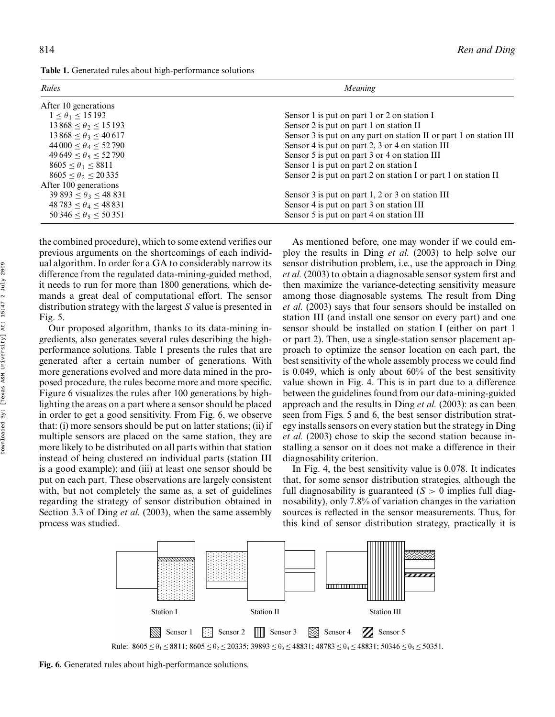| Rules                          | Meaning                                                            |  |  |
|--------------------------------|--------------------------------------------------------------------|--|--|
| After 10 generations           |                                                                    |  |  |
| $1 < \theta_1 < 15193$         | Sensor 1 is put on part 1 or 2 on station I                        |  |  |
| $13868 < \theta_2 < 15193$     | Sensor 2 is put on part 1 on station II                            |  |  |
| $13868 \le \theta_3 \le 40617$ | Sensor 3 is put on any part on station II or part 1 on station III |  |  |
| $44\,000 < \theta_4 < 52\,790$ | Sensor 4 is put on part 2, 3 or 4 on station III                   |  |  |
| $49649 < \theta_5 < 52790$     | Sensor 5 is put on part 3 or 4 on station III                      |  |  |
| $8605 < \theta_1 < 8811$       | Sensor 1 is put on part 2 on station I                             |  |  |
| $8605 < \theta_2 < 20335$      | Sensor 2 is put on part 2 on station I or part 1 on station II     |  |  |
| After 100 generations          |                                                                    |  |  |
| $39893 < \theta_3 < 48831$     | Sensor 3 is put on part 1, 2 or 3 on station III                   |  |  |
| $48\,783 < \theta_4 < 48\,831$ | Sensor 4 is put on part 3 on station III                           |  |  |
| $50\,346 < \theta_5 < 50\,351$ | Sensor 5 is put on part 4 on station III                           |  |  |

**Table 1.** Generated rules about high-performance solutions

the combined procedure), which to some extend verifies our previous arguments on the shortcomings of each individual algorithm. In order for a GA to considerably narrow its difference from the regulated data-mining-guided method, it needs to run for more than 1800 generations, which demands a great deal of computational effort. The sensor distribution strategy with the largest *S* value is presented in Fig. 5.

Our proposed algorithm, thanks to its data-mining ingredients, also generates several rules describing the highperformance solutions. Table 1 presents the rules that are generated after a certain number of generations. With more generations evolved and more data mined in the proposed procedure, the rules become more and more specific. Figure 6 visualizes the rules after 100 generations by highlighting the areas on a part where a sensor should be placed in order to get a good sensitivity. From Fig. 6, we observe that: (i) more sensors should be put on latter stations; (ii) if multiple sensors are placed on the same station, they are more likely to be distributed on all parts within that station instead of being clustered on individual parts (station III is a good example); and (iii) at least one sensor should be put on each part. These observations are largely consistent with, but not completely the same as, a set of guidelines regarding the strategy of sensor distribution obtained in Section 3.3 of Ding *et al.* (2003), when the same assembly process was studied.

**Fig. 6.** Generated rules about high-performance solutions.

As mentioned before, one may wonder if we could employ the results in Ding *et al.* (2003) to help solve our sensor distribution problem, i.e., use the approach in Ding *et al.* (2003) to obtain a diagnosable sensor system first and then maximize the variance-detecting sensitivity measure among those diagnosable systems. The result from Ding *et al.* (2003) says that four sensors should be installed on station III (and install one sensor on every part) and one sensor should be installed on station I (either on part 1 or part 2). Then, use a single-station sensor placement approach to optimize the sensor location on each part, the best sensitivity of the whole assembly process we could find is 0.049, which is only about 60% of the best sensitivity value shown in Fig. 4. This is in part due to a difference between the guidelines found from our data-mining-guided approach and the results in Ding *et al.* (2003): as can been seen from Figs. 5 and 6, the best sensor distribution strategy installs sensors on every station but the strategy in Ding *et al.* (2003) chose to skip the second station because installing a sensor on it does not make a difference in their diagnosability criterion.

In Fig. 4, the best sensitivity value is 0.078. It indicates that, for some sensor distribution strategies, although the full diagnosability is guaranteed  $(S > 0)$  implies full diagnosability), only 7.8% of variation changes in the variation sources is reflected in the sensor measurements. Thus, for this kind of sensor distribution strategy, practically it is

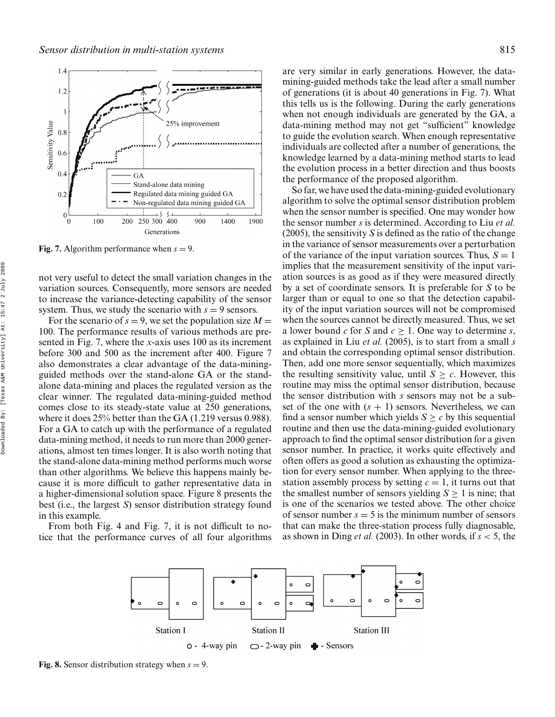

**Fig. 7.** Algorithm performance when  $s = 9$ .

not very useful to detect the small variation changes in the variation sources. Consequently, more sensors are needed to increase the variance-detecting capability of the sensor system. Thus, we study the scenario with  $s = 9$  sensors.

For the scenario of  $s = 9$ , we set the population size  $M =$ 100. The performance results of various methods are presented in Fig. 7, where the *x*-axis uses 100 as its increment before 300 and 500 as the increment after 400. Figure 7 also demonstrates a clear advantage of the data-miningguided methods over the stand-alone GA or the standalone data-mining and places the regulated version as the clear winner. The regulated data-mining-guided method comes close to its steady-state value at 250 generations, where it does 25% better than the GA (1.219 versus 0.988). For a GA to catch up with the performance of a regulated data-mining method, it needs to run more than 2000 generations, almost ten times longer. It is also worth noting that the stand-alone data-mining method performs much worse than other algorithms. We believe this happens mainly because it is more difficult to gather representative data in a higher-dimensional solution space. Figure 8 presents the best (i.e., the largest *S*) sensor distribution strategy found in this example.

From both Fig. 4 and Fig. 7, it is not difficult to notice that the performance curves of all four algorithms are very similar in early generations. However, the datamining-guided methods take the lead after a small number of generations (it is about 40 generations in Fig. 7). What this tells us is the following. During the early generations when not enough individuals are generated by the GA, a data-mining method may not get "sufficient" knowledge to guide the evolution search. When enough representative individuals are collected after a number of generations, the knowledge learned by a data-mining method starts to lead the evolution process in a better direction and thus boosts the performance of the proposed algorithm.

So far, we have used the data-mining-guided evolutionary algorithm to solve the optimal sensor distribution problem when the sensor number is specified. One may wonder how the sensor number *s* is determined. According to Liu *et al.* (2005), the sensitivity *S* is defined as the ratio of the change in the variance of sensor measurements over a perturbation of the variance of the input variation sources. Thus,  $S = 1$ implies that the measurement sensitivity of the input variation sources is as good as if they were measured directly by a set of coordinate sensors. It is preferable for *S* to be larger than or equal to one so that the detection capability of the input variation sources will not be compromised when the sources cannot be directly measured. Thus, we set a lower bound *c* for *S* and *c* ≥ 1. One way to determine *s*, as explained in Liu *et al.* (2005), is to start from a small *s* and obtain the corresponding optimal sensor distribution. Then, add one more sensor sequentially, which maximizes the resulting sensitivity value, until  $S \geq c$ . However, this routine may miss the optimal sensor distribution, because the sensor distribution with *s* sensors may not be a subset of the one with  $(s + 1)$  sensors. Nevertheless, we can find a sensor number which yields  $S \geq c$  by this sequential routine and then use the data-mining-guided evolutionary approach to find the optimal sensor distribution for a given sensor number. In practice, it works quite effectively and often offers as good a solution as exhausting the optimization for every sensor number. When applying to the threestation assembly process by setting  $c = 1$ , it turns out that the smallest number of sensors yielding  $S \geq 1$  is nine; that is one of the scenarios we tested above. The other choice of sensor number  $s = 5$  is the minimum number of sensors that can make the three-station process fully diagnosable, as shown in Ding *et al.* (2003). In other words, if *s* < 5, the



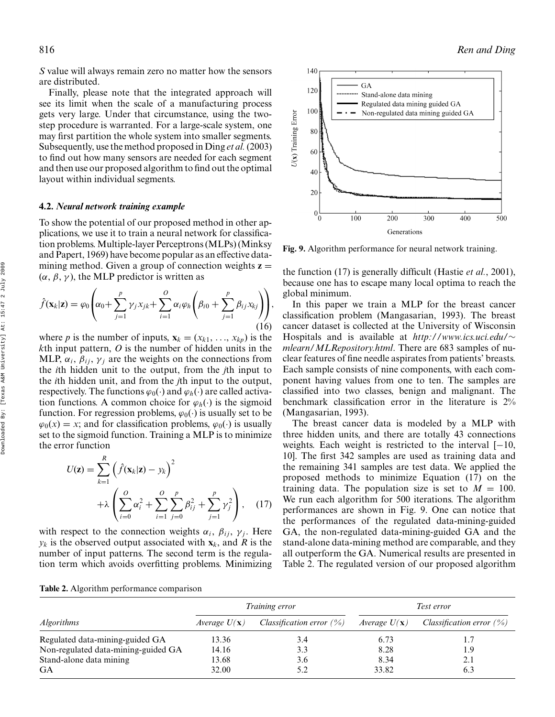*S* value will always remain zero no matter how the sensors are distributed.

Finally, please note that the integrated approach will see its limit when the scale of a manufacturing process gets very large. Under that circumstance, using the twostep procedure is warranted. For a large-scale system, one may first partition the whole system into smaller segments. Subsequently, use the method proposed in Ding *et al.*(2003) to find out how many sensors are needed for each segment and then use our proposed algorithm to find out the optimal layout within individual segments.

#### **4.2.** *Neural network training example*

To show the potential of our proposed method in other applications, we use it to train a neural network for classification problems. Multiple-layer Perceptrons (MLPs) (Minksy and Papert, 1969) have become popular as an effective datamining method. Given a group of connection weights  $z =$  $(\alpha, \beta, \gamma)$ , the MLP predictor is written as

$$
\hat{f}(\mathbf{x}_k|\mathbf{z}) = \varphi_0\left(\alpha_0 + \sum_{j=1}^p \gamma_j x_{jk} + \sum_{i=1}^O \alpha_i \varphi_h \left(\beta_{i0} + \sum_{j=1}^p \beta_{ij} x_{kj}\right)\right),\tag{16}
$$

where *p* is the number of inputs,  $\mathbf{x}_k = (x_{k1}, \ldots, x_{kp})$  is the *k*th input pattern, *O* is the number of hidden units in the MLP,  $\alpha_i$ ,  $\beta_{ij}$ ,  $\gamma_j$  are the weights on the connections from the *i*th hidden unit to the output, from the *j*th input to the *i*th hidden unit, and from the *j*th input to the output, respectively. The functions  $\varphi_0(\cdot)$  and  $\varphi_h(\cdot)$  are called activation functions. A common choice for  $\varphi_h(\cdot)$  is the sigmoid function. For regression problems,  $\varphi_0(\cdot)$  is usually set to be  $\varphi_0(x) = x$ ; and for classification problems,  $\varphi_0(\cdot)$  is usually set to the sigmoid function. Training a MLP is to minimize the error function

$$
U(\mathbf{z}) = \sum_{k=1}^{R} \left( \hat{f}(\mathbf{x}_k | \mathbf{z}) - y_k \right)^2 + \lambda \left( \sum_{i=0}^{O} \alpha_i^2 + \sum_{i=1}^{O} \sum_{j=0}^{p} \beta_{ij}^2 + \sum_{j=1}^{p} \gamma_j^2 \right), \quad (17)
$$

with respect to the connection weights  $\alpha_i$ ,  $\beta_{ij}$ ,  $\gamma_j$ . Here  $y_k$  is the observed output associated with  $\mathbf{x}_k$ , and *R* is the number of input patterns. The second term is the regulation term which avoids overfitting problems. Minimizing



**Fig. 9.** Algorithm performance for neural network training.

the function (17) is generally difficult (Hastie *et al.*, 2001), because one has to escape many local optima to reach the global minimum.

In this paper we train a MLP for the breast cancer classification problem (Mangasarian, 1993). The breast cancer dataset is collected at the University of Wisconsin Hospitals and is available at *http://www.ics.uci.edu/*∼ *mlearn/MLRepository.html*. There are 683 samples of nuclear features of fine needle aspirates from patients' breasts. Each sample consists of nine components, with each component having values from one to ten. The samples are classified into two classes, benign and malignant. The benchmark classification error in the literature is 2% (Mangasarian, 1993).

The breast cancer data is modeled by a MLP with three hidden units, and there are totally 43 connections weights. Each weight is restricted to the interval  $[-10,$ 10]. The first 342 samples are used as training data and the remaining 341 samples are test data. We applied the proposed methods to minimize Equation (17) on the training data. The population size is set to  $M = 100$ . We run each algorithm for 500 iterations. The algorithm performances are shown in Fig. 9. One can notice that the performances of the regulated data-mining-guided GA, the non-regulated data-mining-guided GA and the stand-alone data-mining method are comparable, and they all outperform the GA. Numerical results are presented in Table 2. The regulated version of our proposed algorithm

| <i>Algorithms</i>                   | <i>Training error</i>   |                             | <i>Test error</i>     |                              |
|-------------------------------------|-------------------------|-----------------------------|-----------------------|------------------------------|
|                                     | Average $U(\mathbf{x})$ | Classification error $(\%)$ | <i>Average</i> $U(x)$ | Classification error $(\% )$ |
| Regulated data-mining-guided GA     | 13.36                   | 3.4                         | 6.73                  | 1.7                          |
| Non-regulated data-mining-guided GA | 14.16                   | 3.3                         | 8.28                  | 1.9                          |
| Stand-alone data mining             | 13.68                   | 3.6                         | 8.34                  | 2.1                          |
| GA                                  | 32.00                   | 5.2                         | 33.82                 | 6.3                          |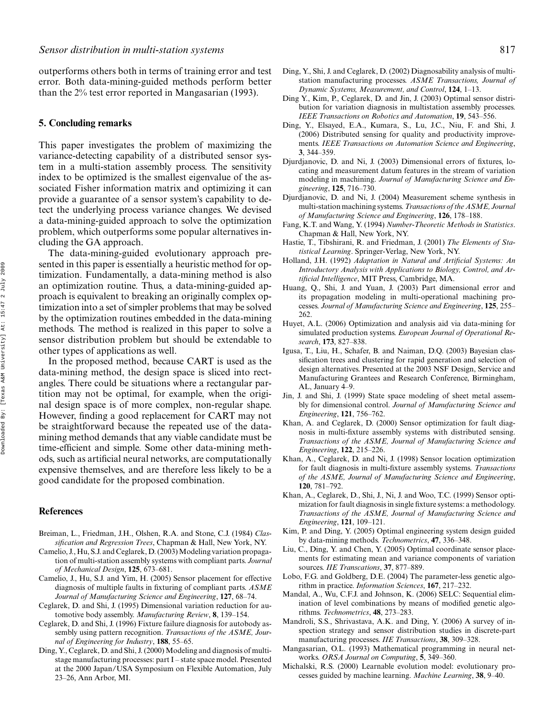outperforms others both in terms of training error and test error. Both data-mining-guided methods perform better than the 2% test error reported in Mangasarian (1993).

#### **5. Concluding remarks**

This paper investigates the problem of maximizing the variance-detecting capability of a distributed sensor system in a multi-station assembly process. The sensitivity index to be optimized is the smallest eigenvalue of the associated Fisher information matrix and optimizing it can provide a guarantee of a sensor system's capability to detect the underlying process variance changes. We devised a data-mining-guided approach to solve the optimization problem, which outperforms some popular alternatives including the GA approach.

The data-mining-guided evolutionary approach presented in this paper is essentially a heuristic method for optimization. Fundamentally, a data-mining method is also an optimization routine. Thus, a data-mining-guided approach is equivalent to breaking an originally complex optimization into a set of simpler problems that may be solved by the optimization routines embedded in the data-mining methods. The method is realized in this paper to solve a sensor distribution problem but should be extendable to other types of applications as well.

In the proposed method, because CART is used as the data-mining method, the design space is sliced into rectangles. There could be situations where a rectangular partition may not be optimal, for example, when the original design space is of more complex, non-regular shape. However, finding a good replacement for CART may not be straightforward because the repeated use of the datamining method demands that any viable candidate must be time-efficient and simple. Some other data-mining methods, such as artificial neural networks, are computationally expensive themselves, and are therefore less likely to be a good candidate for the proposed combination.

#### **References**

- Breiman, L., Friedman, J.H., Olshen, R.A. and Stone, C.J. (1984) *Classification and Regression Trees*, Chapman & Hall, New York, NY.
- Camelio, J., Hu, S.J. and Ceglarek, D. (2003) Modeling variation propagation of multi-station assembly systems with compliant parts. *Journal of Mechanical Design*, **125**, 673–681.
- Camelio, J., Hu, S.J. and Yim, H. (2005) Sensor placement for effective diagnosis of multiple faults in fixturing of compliant parts. *ASME Journal of Manufacturing Science and Engineering*, **127**, 68–74.
- Ceglarek, D. and Shi, J. (1995) Dimensional variation reduction for automotive body assembly. *Manufacturing Review*, **8**, 139–154.
- Ceglarek, D. and Shi, J. (1996) Fixture failure diagnosis for autobody assembly using pattern recognition. *Transactions of the ASME, Journal of Engineering for Industry*, **188**, 55–65.
- Ding, Y., Ceglarek, D. and Shi, J. (2000) Modeling and diagnosis of multistage manufacturing processes: part I – state space model. Presented at the 2000 Japan/USA Symposium on Flexible Automation, July 23–26, Ann Arbor, MI.
- Ding Y., Kim, P., Ceglarek, D. and Jin, J. (2003) Optimal sensor distribution for variation diagnosis in multistation assembly processes. *IEEE Transactions on Robotics and Automation*, **19**, 543–556.
- Ding, Y., Elsayed, E.A., Kumara, S., Lu, J.C., Niu, F. and Shi, J. (2006) Distributed sensing for quality and productivity improvements. *IEEE Transactions on Automation Science and Engineering*, **3**, 344–359.
- Djurdjanovic, D. and Ni, J. (2003) Dimensional errors of fixtures, locating and measurement datum features in the stream of variation modeling in machining. *Journal of Manufacturing Science and Engineering*, **125**, 716–730.
- Djurdjanovic, D. and Ni, J. (2004) Measurement scheme synthesis in multi-station machining systems.*Transactions of the ASME, Journal of Manufacturing Science and Engineering*, **126**, 178–188.
- Fang, K.T. and Wang, Y. (1994) *Number-Theoretic Methods in Statistics*. Chapman & Hall, New York, NY.
- Hastie, T., Tibshirani, R. and Friedman, J. (2001) *The Elements of Statistical Learning*. Springer-Verlag, New York, NY.
- Holland, J.H. (1992) *Adaptation in Natural and Artificial Systems: An Introductory Analysis with Applications to Biology, Control, and Artificial Intelligence*, MIT Press, Cambridge, MA.
- Huang, Q., Shi, J. and Yuan, J. (2003) Part dimensional error and its propagation modeling in multi-operational machining processes. *Journal of Manufacturing Science and Engineering*, **125**, 255– 262.
- Huyet, A.L. (2006) Optimization and analysis aid via data-mining for simulated production systems. *European Journal of Operational Research*, **173**, 827–838.
- Igusa, T., Liu, H., Schafer, B. and Naiman, D.Q. (2003) Bayesian classification trees and clustering for rapid generation and selection of design alternatives. Presented at the 2003 NSF Design, Service and Manufacturing Grantees and Research Conference, Birmingham, AL, January 4–9.
- Jin, J. and Shi, J. (1999) State space modeling of sheet metal assembly for dimensional control. *Journal of Manufacturing Science and Engineering*, **121**, 756–762.
- Khan, A. and Ceglarek, D. (2000) Sensor optimization for fault diagnosis in multi-fixture assembly systems with distributed sensing. *Transactions of the ASME, Journal of Manufacturing Science and Engineering*, **122**, 215–226.
- Khan, A., Ceglarek, D. and Ni, J. (1998) Sensor location optimization for fault diagnosis in multi-fixture assembly systems. *Transactions of the ASME, Journal of Manufacturing Science and Engineering*, **120**, 781–792.
- Khan, A., Ceglarek, D., Shi, J., Ni, J. and Woo, T.C. (1999) Sensor optimization for fault diagnosis in single fixture systems: a methodology. *Transactions of the ASME, Journal of Manufacturing Science and Engineering*, **121**, 109–121.
- Kim, P. and Ding, Y. (2005) Optimal engineering system design guided by data-mining methods. *Technometrics*, **47**, 336–348.
- Liu, C., Ding, Y. and Chen, Y. (2005) Optimal coordinate sensor placements for estimating mean and variance components of variation sources. *IIE Transcations*, **37**, 877–889.
- Lobo, F.G. and Goldberg, D.E. (2004) The parameter-less genetic algorithm in practice. *Information Sciences*, **167**, 217–232.
- Mandal, A., Wu, C.F.J. and Johnson, K. (2006) SELC: Sequential elimination of level combinations by means of modified genetic algorithms. *Technometrics*, **48**, 273–283.
- Mandroli, S.S., Shrivastava, A.K. and Ding, Y. (2006) A survey of inspection strategy and sensor distribution studies in discrete-part manufacturing processes. *IIE Transactions*, **38**, 309–328.
- Mangasarian, O.L. (1993) Mathematical programming in neural networks. *ORSA Journal on Computing*, **5**, 349–360.
- Michalski, R.S. (2000) Learnable evolution model: evolutionary processes guided by machine learning. *Machine Learning*, **38**, 9–40.